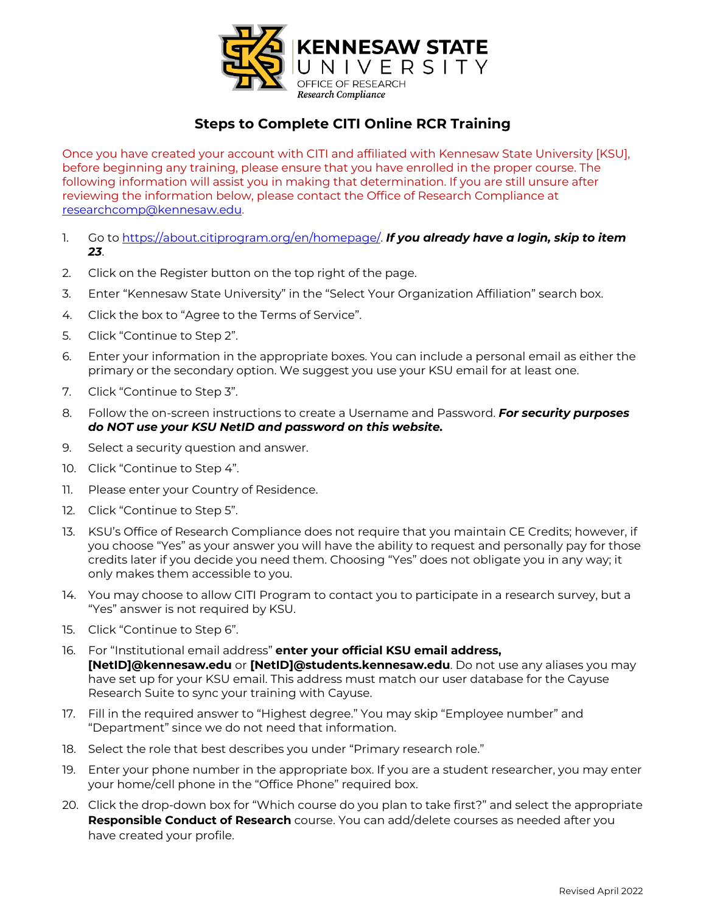

# **Steps to Complete CITI Online RCR Training**

Once you have created your account with CITI and affiliated with Kennesaw State University [KSU], before beginning any training, please ensure that you have enrolled in the proper course. The following information will assist you in making that determination. If you are still unsure after reviewing the information below, please contact the Office of Research Compliance at researchcomp@kennesaw.edu.

- 1. Go to https://about.citiprogram.org/en/homepage/. *If you already have a login, skip to item 23*.
- 2. Click on the Register button on the top right of the page.
- 3. Enter "Kennesaw State University" in the "Select Your Organization Affiliation" search box.
- 4. Click the box to "Agree to the Terms of Service".
- 5. Click "Continue to Step 2".
- 6. Enter your information in the appropriate boxes. You can include a personal email as either the primary or the secondary option. We suggest you use your KSU email for at least one.
- 7. Click "Continue to Step 3".
- 8. Follow the on-screen instructions to create a Username and Password. *For security purposes do NOT use your KSU NetID and password on this website.*
- 9. Select a security question and answer.
- 10. Click "Continue to Step 4".
- 11. Please enter your Country of Residence.
- 12. Click "Continue to Step 5".
- 13. KSU's Office of Research Compliance does not require that you maintain CE Credits; however, if you choose "Yes" as your answer you will have the ability to request and personally pay for those credits later if you decide you need them. Choosing "Yes" does not obligate you in any way; it only makes them accessible to you.
- 14. You may choose to allow CITI Program to contact you to participate in a research survey, but a "Yes" answer is not required by KSU.
- 15. Click "Continue to Step 6".
- 16. For "Institutional email address" **enter your official KSU email address, [NetID]@kennesaw.edu** or **[NetID]@students.kennesaw.edu**. Do not use any aliases you may have set up for your KSU email. This address must match our user database for the Cayuse Research Suite to sync your training with Cayuse.
- 17. Fill in the required answer to "Highest degree." You may skip "Employee number" and "Department" since we do not need that information.
- 18. Select the role that best describes you under "Primary research role."
- 19. Enter your phone number in the appropriate box. If you are a student researcher, you may enter your home/cell phone in the "Office Phone" required box.
- 20. Click the drop-down box for "Which course do you plan to take first?" and select the appropriate **Responsible Conduct of Research** course. You can add/delete courses as needed after you have created your profile.